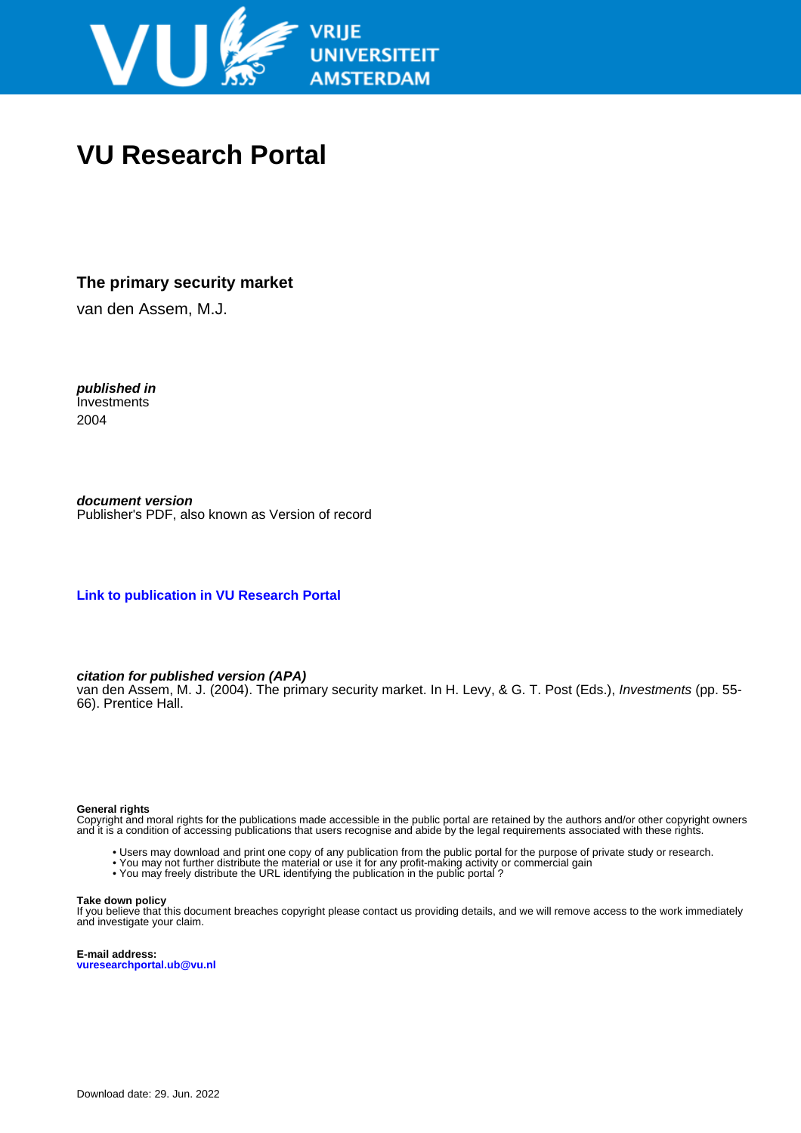

# **VU Research Portal**

## **The primary security market**

van den Assem, M.J.

**published in investments** 2004

**document version** Publisher's PDF, also known as Version of record

**[Link to publication in VU Research Portal](https://research.vu.nl/en/publications/f3a804ed-370b-49ce-bf39-102f228e5d21)**

### **citation for published version (APA)**

van den Assem, M. J. (2004). The primary security market. In H. Levy, & G. T. Post (Eds.), Investments (pp. 55- 66). Prentice Hall.

#### **General rights**

Copyright and moral rights for the publications made accessible in the public portal are retained by the authors and/or other copyright owners and it is a condition of accessing publications that users recognise and abide by the legal requirements associated with these rights.

- Users may download and print one copy of any publication from the public portal for the purpose of private study or research.
- You may not further distribute the material or use it for any profit-making activity or commercial gain
- You may freely distribute the URL identifying the publication in the public portal ?

#### **Take down policy**

If you believe that this document breaches copyright please contact us providing details, and we will remove access to the work immediately and investigate your claim.

**E-mail address: vuresearchportal.ub@vu.nl**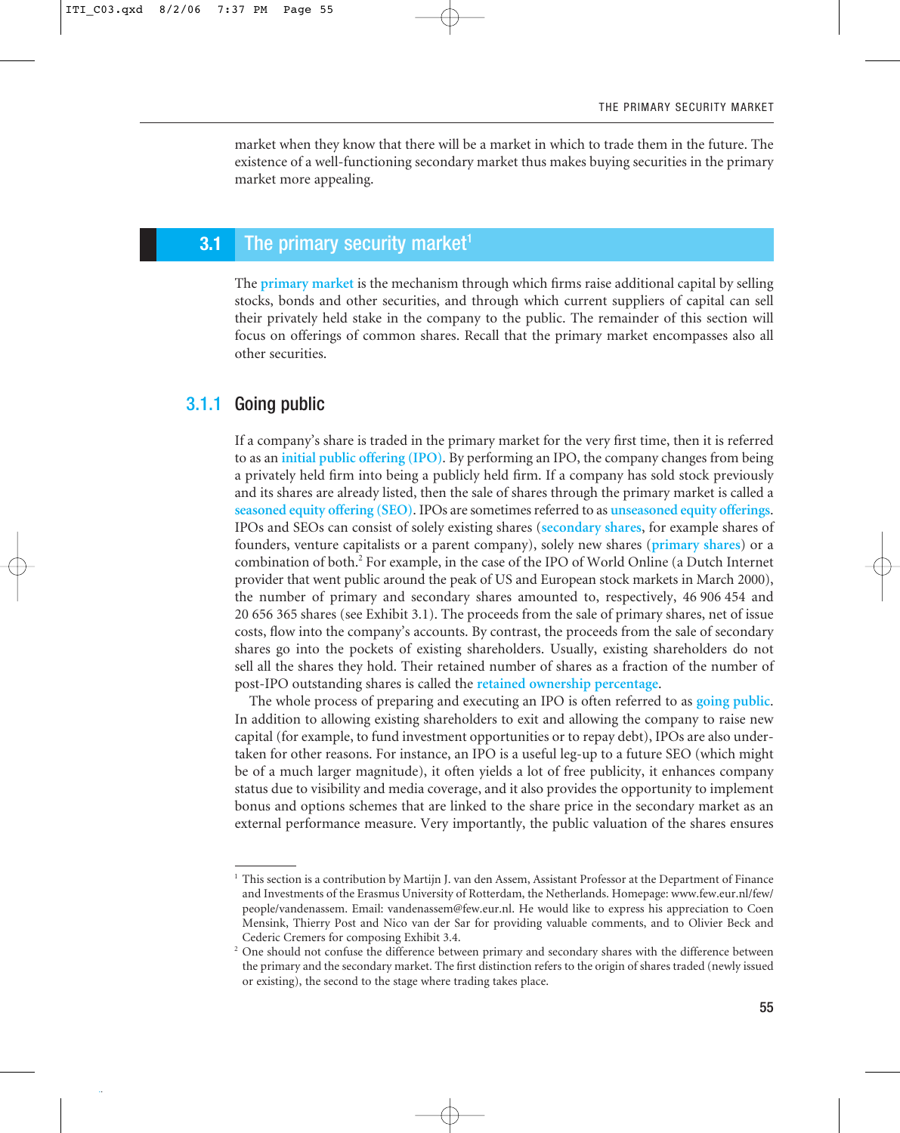market when they know that there will be a market in which to trade them in the future. The existence of a well-functioning secondary market thus makes buying securities in the primary market more appealing.

# **3.1** The primary security market<sup>1</sup>

The **primary market** is the mechanism through which firms raise additional capital by selling stocks, bonds and other securities, and through which current suppliers of capital can sell their privately held stake in the company to the public. The remainder of this section will focus on offerings of common shares. Recall that the primary market encompasses also all other securities.

## 3.1.1 Going public

If a company's share is traded in the primary market for the very first time, then it is referred to as an **initial public offering (IPO)**. By performing an IPO, the company changes from being a privately held firm into being a publicly held firm. If a company has sold stock previously and its shares are already listed, then the sale of shares through the primary market is called a **seasoned equity offering (SEO)**. IPOs are sometimes referred to as **unseasoned equity offerings**. IPOs and SEOs can consist of solely existing shares (**secondary shares**, for example shares of founders, venture capitalists or a parent company), solely new shares (**primary shares**) or a combination of both.2 For example, in the case of the IPO of World Online (a Dutch Internet provider that went public around the peak of US and European stock markets in March 2000), the number of primary and secondary shares amounted to, respectively, 46 906 454 and 20 656 365 shares (see Exhibit 3.1). The proceeds from the sale of primary shares, net of issue costs, flow into the company's accounts. By contrast, the proceeds from the sale of secondary shares go into the pockets of existing shareholders. Usually, existing shareholders do not sell all the shares they hold. Their retained number of shares as a fraction of the number of post-IPO outstanding shares is called the **retained ownership percentage**.

The whole process of preparing and executing an IPO is often referred to as **going public**. In addition to allowing existing shareholders to exit and allowing the company to raise new capital (for example, to fund investment opportunities or to repay debt), IPOs are also undertaken for other reasons. For instance, an IPO is a useful leg-up to a future SEO (which might be of a much larger magnitude), it often yields a lot of free publicity, it enhances company status due to visibility and media coverage, and it also provides the opportunity to implement bonus and options schemes that are linked to the share price in the secondary market as an external performance measure. Very importantly, the public valuation of the shares ensures

<sup>&</sup>lt;sup>1</sup> This section is a contribution by Martijn J. van den Assem, Assistant Professor at the Department of Finance and Investments of the Erasmus University of Rotterdam, the Netherlands. Homepage: www.few.eur.nl/few/ people/vandenassem. Email: vandenassem@few.eur.nl. He would like to express his appreciation to Coen Mensink, Thierry Post and Nico van der Sar for providing valuable comments, and to Olivier Beck and Cederic Cremers for composing Exhibit 3.4.

 $2$  One should not confuse the difference between primary and secondary shares with the difference between the primary and the secondary market. The first distinction refers to the origin of shares traded (newly issued or existing), the second to the stage where trading takes place.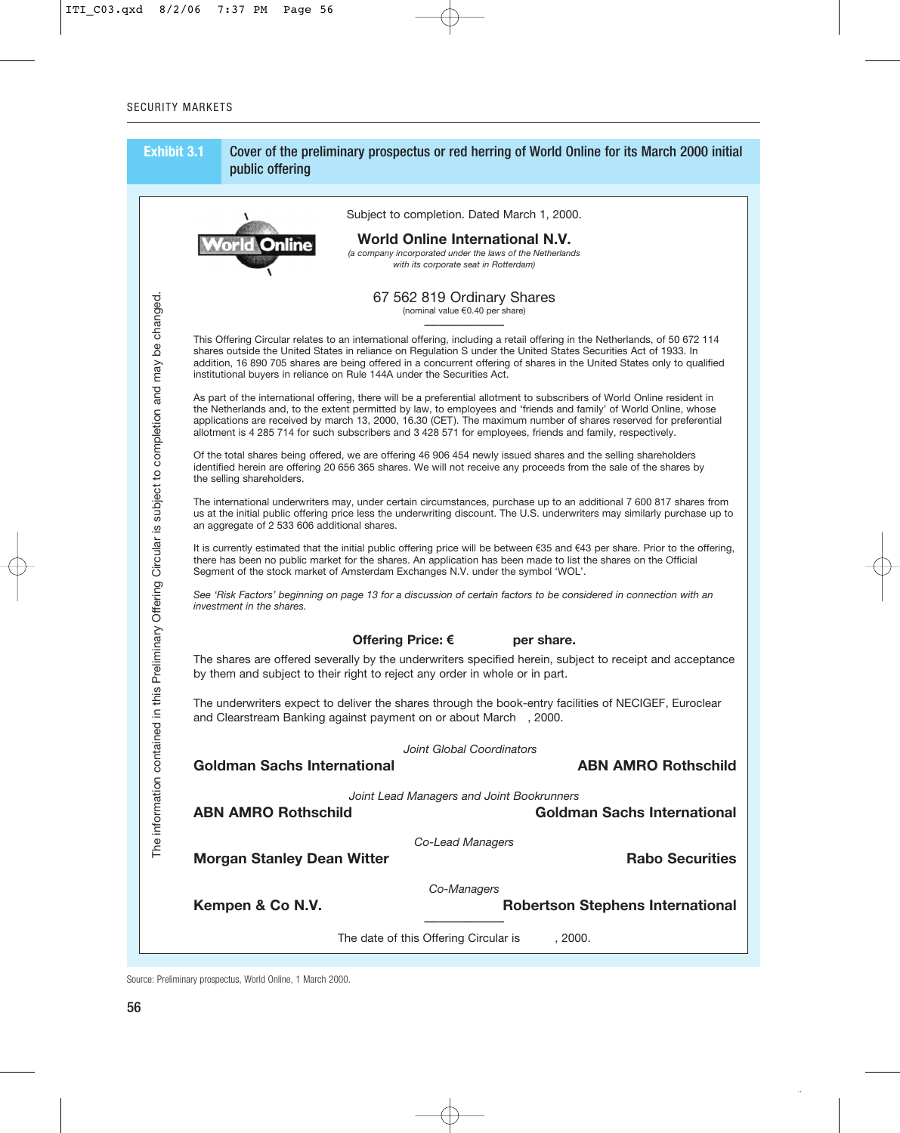| <b>Exhibit 3.1</b>                                                                                                                                                                                                                                                                                                                                                                                                                                                                                                                                                                                                                                                                                                                                                                                                                                                                                                                                                                                                                       | Cover of the preliminary prospectus or red herring of World Online for its March 2000 initial<br>public offering                                                                                                                                                                                  |  |  |  |  |  |
|------------------------------------------------------------------------------------------------------------------------------------------------------------------------------------------------------------------------------------------------------------------------------------------------------------------------------------------------------------------------------------------------------------------------------------------------------------------------------------------------------------------------------------------------------------------------------------------------------------------------------------------------------------------------------------------------------------------------------------------------------------------------------------------------------------------------------------------------------------------------------------------------------------------------------------------------------------------------------------------------------------------------------------------|---------------------------------------------------------------------------------------------------------------------------------------------------------------------------------------------------------------------------------------------------------------------------------------------------|--|--|--|--|--|
|                                                                                                                                                                                                                                                                                                                                                                                                                                                                                                                                                                                                                                                                                                                                                                                                                                                                                                                                                                                                                                          |                                                                                                                                                                                                                                                                                                   |  |  |  |  |  |
|                                                                                                                                                                                                                                                                                                                                                                                                                                                                                                                                                                                                                                                                                                                                                                                                                                                                                                                                                                                                                                          | Subject to completion. Dated March 1, 2000.                                                                                                                                                                                                                                                       |  |  |  |  |  |
|                                                                                                                                                                                                                                                                                                                                                                                                                                                                                                                                                                                                                                                                                                                                                                                                                                                                                                                                                                                                                                          | World Online International N.V.<br>(a company incorporated under the laws of the Netherlands<br>with its corporate seat in Rotterdam)                                                                                                                                                             |  |  |  |  |  |
|                                                                                                                                                                                                                                                                                                                                                                                                                                                                                                                                                                                                                                                                                                                                                                                                                                                                                                                                                                                                                                          | 67 562 819 Ordinary Shares<br>(nominal value €0.40 per share)                                                                                                                                                                                                                                     |  |  |  |  |  |
| on contained in this Preliminary Offering Circular is subject to completion and may be changed<br>This Offering Circular relates to an international offering, including a retail offering in the Netherlands, of 50 672 114<br>shares outside the United States in reliance on Regulation S under the United States Securities Act of 1933. In<br>addition, 16 890 705 shares are being offered in a concurrent offering of shares in the United States only to qualified<br>institutional buyers in reliance on Rule 144A under the Securities Act.<br>As part of the international offering, there will be a preferential allotment to subscribers of World Online resident in<br>the Netherlands and, to the extent permitted by law, to employees and 'friends and family' of World Online, whose<br>applications are received by march 13, 2000, 16.30 (CET). The maximum number of shares reserved for preferential<br>allotment is 4 285 714 for such subscribers and 3 428 571 for employees, friends and family, respectively. |                                                                                                                                                                                                                                                                                                   |  |  |  |  |  |
|                                                                                                                                                                                                                                                                                                                                                                                                                                                                                                                                                                                                                                                                                                                                                                                                                                                                                                                                                                                                                                          |                                                                                                                                                                                                                                                                                                   |  |  |  |  |  |
|                                                                                                                                                                                                                                                                                                                                                                                                                                                                                                                                                                                                                                                                                                                                                                                                                                                                                                                                                                                                                                          | The international underwriters may, under certain circumstances, purchase up to an additional 7 600 817 shares from<br>us at the initial public offering price less the underwriting discount. The U.S. underwriters may similarly purchase up to<br>an aggregate of 2 533 606 additional shares. |  |  |  |  |  |
| It is currently estimated that the initial public offering price will be between $\epsilon$ 35 and $\epsilon$ 43 per share. Prior to the offering,<br>there has been no public market for the shares. An application has been made to list the shares on the Official<br>Segment of the stock market of Amsterdam Exchanges N.V. under the symbol 'WOL'.                                                                                                                                                                                                                                                                                                                                                                                                                                                                                                                                                                                                                                                                                 |                                                                                                                                                                                                                                                                                                   |  |  |  |  |  |
| See 'Risk Factors' beginning on page 13 for a discussion of certain factors to be considered in connection with an<br>investment in the shares.                                                                                                                                                                                                                                                                                                                                                                                                                                                                                                                                                                                                                                                                                                                                                                                                                                                                                          |                                                                                                                                                                                                                                                                                                   |  |  |  |  |  |
|                                                                                                                                                                                                                                                                                                                                                                                                                                                                                                                                                                                                                                                                                                                                                                                                                                                                                                                                                                                                                                          | Offering Price: €<br>per share.                                                                                                                                                                                                                                                                   |  |  |  |  |  |
| The shares are offered severally by the underwriters specified herein, subject to receipt and acceptance<br>by them and subject to their right to reject any order in whole or in part.                                                                                                                                                                                                                                                                                                                                                                                                                                                                                                                                                                                                                                                                                                                                                                                                                                                  |                                                                                                                                                                                                                                                                                                   |  |  |  |  |  |
| The underwriters expect to deliver the shares through the book-entry facilities of NECIGEF, Euroclear<br>and Clearstream Banking against payment on or about March, 2000.                                                                                                                                                                                                                                                                                                                                                                                                                                                                                                                                                                                                                                                                                                                                                                                                                                                                |                                                                                                                                                                                                                                                                                                   |  |  |  |  |  |
|                                                                                                                                                                                                                                                                                                                                                                                                                                                                                                                                                                                                                                                                                                                                                                                                                                                                                                                                                                                                                                          | Joint Global Coordinators                                                                                                                                                                                                                                                                         |  |  |  |  |  |
|                                                                                                                                                                                                                                                                                                                                                                                                                                                                                                                                                                                                                                                                                                                                                                                                                                                                                                                                                                                                                                          | <b>Goldman Sachs International</b><br><b>ABN AMRO Rothschild</b>                                                                                                                                                                                                                                  |  |  |  |  |  |
| The informati<br>Joint Lead Managers and Joint Bookrunners<br><b>ABN AMRO Rothschild</b><br><b>Goldman Sachs International</b>                                                                                                                                                                                                                                                                                                                                                                                                                                                                                                                                                                                                                                                                                                                                                                                                                                                                                                           |                                                                                                                                                                                                                                                                                                   |  |  |  |  |  |
|                                                                                                                                                                                                                                                                                                                                                                                                                                                                                                                                                                                                                                                                                                                                                                                                                                                                                                                                                                                                                                          | Co-Lead Managers                                                                                                                                                                                                                                                                                  |  |  |  |  |  |
|                                                                                                                                                                                                                                                                                                                                                                                                                                                                                                                                                                                                                                                                                                                                                                                                                                                                                                                                                                                                                                          | <b>Rabo Securities</b><br><b>Morgan Stanley Dean Witter</b>                                                                                                                                                                                                                                       |  |  |  |  |  |
|                                                                                                                                                                                                                                                                                                                                                                                                                                                                                                                                                                                                                                                                                                                                                                                                                                                                                                                                                                                                                                          | Co-Managers<br>Kempen & Co N.V.<br><b>Robertson Stephens International</b>                                                                                                                                                                                                                        |  |  |  |  |  |
| The date of this Offering Circular is<br>, 2000.                                                                                                                                                                                                                                                                                                                                                                                                                                                                                                                                                                                                                                                                                                                                                                                                                                                                                                                                                                                         |                                                                                                                                                                                                                                                                                                   |  |  |  |  |  |

Source: Preliminary prospectus, World Online, 1 March 2000.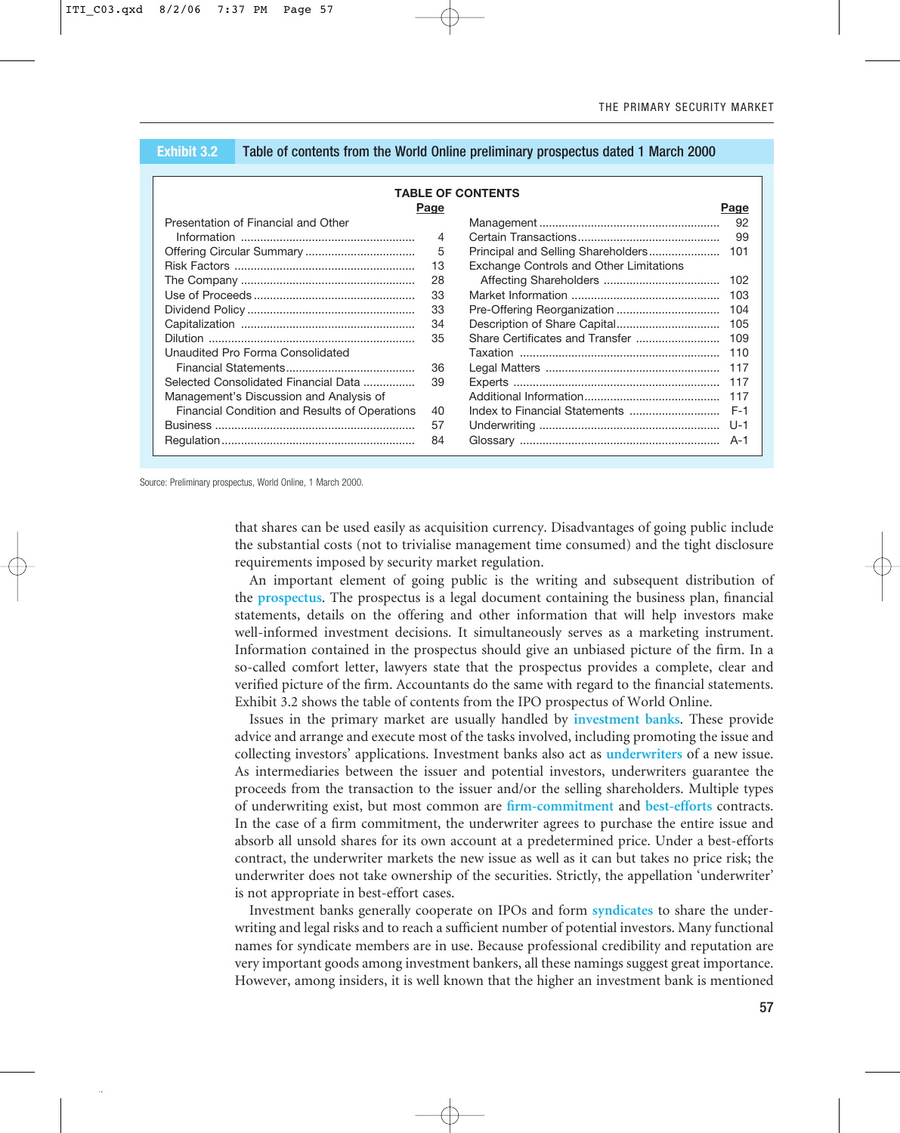## **Exhibit 3.2** Table of contents from the World Online preliminary prospectus dated 1 March 2000

| <b>TABLE OF CONTENTS</b>                      |                |                                         |       |  |  |  |  |  |
|-----------------------------------------------|----------------|-----------------------------------------|-------|--|--|--|--|--|
| <u>Page</u><br><b>Page</b>                    |                |                                         |       |  |  |  |  |  |
| Presentation of Financial and Other           |                |                                         | 92    |  |  |  |  |  |
|                                               | $\overline{4}$ |                                         | 99    |  |  |  |  |  |
|                                               |                |                                         | 101   |  |  |  |  |  |
|                                               | 13             | Exchange Controls and Other Limitations |       |  |  |  |  |  |
|                                               | 28             |                                         | 102   |  |  |  |  |  |
|                                               | 33             |                                         | 103   |  |  |  |  |  |
|                                               | 33             |                                         | 104   |  |  |  |  |  |
|                                               | 34             | Description of Share Capital            | 105   |  |  |  |  |  |
|                                               | 35             | Share Certificates and Transfer         | 109   |  |  |  |  |  |
| Unaudited Pro Forma Consolidated              |                |                                         | 110   |  |  |  |  |  |
|                                               | 36             |                                         | 117   |  |  |  |  |  |
| Selected Consolidated Financial Data          | 39             |                                         | 117   |  |  |  |  |  |
| Management's Discussion and Analysis of       |                |                                         | 117   |  |  |  |  |  |
| Financial Condition and Results of Operations | 40             |                                         | $F-1$ |  |  |  |  |  |
|                                               |                |                                         | $U-1$ |  |  |  |  |  |
|                                               | 84             |                                         |       |  |  |  |  |  |

Source: Preliminary prospectus, World Online, 1 March 2000.

that shares can be used easily as acquisition currency. Disadvantages of going public include the substantial costs (not to trivialise management time consumed) and the tight disclosure requirements imposed by security market regulation.

An important element of going public is the writing and subsequent distribution of the **prospectus**. The prospectus is a legal document containing the business plan, financial statements, details on the offering and other information that will help investors make well-informed investment decisions. It simultaneously serves as a marketing instrument. Information contained in the prospectus should give an unbiased picture of the firm. In a so-called comfort letter, lawyers state that the prospectus provides a complete, clear and verified picture of the firm. Accountants do the same with regard to the financial statements. Exhibit 3.2 shows the table of contents from the IPO prospectus of World Online.

Issues in the primary market are usually handled by **investment banks**. These provide advice and arrange and execute most of the tasks involved, including promoting the issue and collecting investors' applications. Investment banks also act as **underwriters** of a new issue. As intermediaries between the issuer and potential investors, underwriters guarantee the proceeds from the transaction to the issuer and/or the selling shareholders. Multiple types of underwriting exist, but most common are **firm-commitment** and **best-efforts** contracts. In the case of a firm commitment, the underwriter agrees to purchase the entire issue and absorb all unsold shares for its own account at a predetermined price. Under a best-efforts contract, the underwriter markets the new issue as well as it can but takes no price risk; the underwriter does not take ownership of the securities. Strictly, the appellation 'underwriter' is not appropriate in best-effort cases.

Investment banks generally cooperate on IPOs and form **syndicates** to share the underwriting and legal risks and to reach a sufficient number of potential investors. Many functional names for syndicate members are in use. Because professional credibility and reputation are very important goods among investment bankers, all these namings suggest great importance. However, among insiders, it is well known that the higher an investment bank is mentioned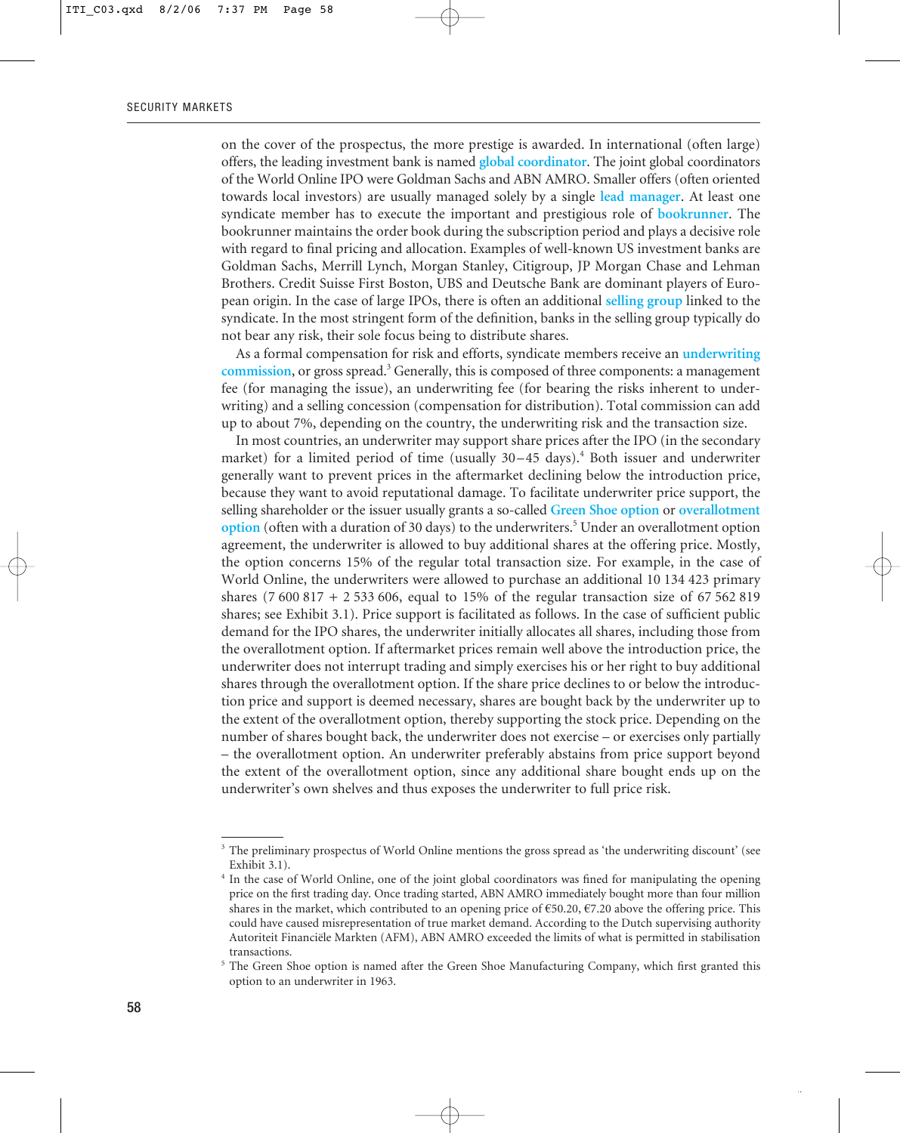on the cover of the prospectus, the more prestige is awarded. In international (often large) offers, the leading investment bank is named **global coordinator**. The joint global coordinators of the World Online IPO were Goldman Sachs and ABN AMRO. Smaller offers (often oriented towards local investors) are usually managed solely by a single **lead manager**. At least one syndicate member has to execute the important and prestigious role of **bookrunner**. The bookrunner maintains the order book during the subscription period and plays a decisive role with regard to final pricing and allocation. Examples of well-known US investment banks are Goldman Sachs, Merrill Lynch, Morgan Stanley, Citigroup, JP Morgan Chase and Lehman Brothers. Credit Suisse First Boston, UBS and Deutsche Bank are dominant players of European origin. In the case of large IPOs, there is often an additional **selling group** linked to the syndicate. In the most stringent form of the definition, banks in the selling group typically do not bear any risk, their sole focus being to distribute shares.

As a formal compensation for risk and efforts, syndicate members receive an **underwriting commission**, or gross spread.3 Generally, this is composed of three components: a management fee (for managing the issue), an underwriting fee (for bearing the risks inherent to underwriting) and a selling concession (compensation for distribution). Total commission can add up to about 7%, depending on the country, the underwriting risk and the transaction size.

In most countries, an underwriter may support share prices after the IPO (in the secondary market) for a limited period of time (usually  $30-45$  days).<sup>4</sup> Both issuer and underwriter generally want to prevent prices in the aftermarket declining below the introduction price, because they want to avoid reputational damage. To facilitate underwriter price support, the selling shareholder or the issuer usually grants a so-called **Green Shoe option** or **overallotment option** (often with a duration of 30 days) to the underwriters.<sup>5</sup> Under an overallotment option agreement, the underwriter is allowed to buy additional shares at the offering price. Mostly, the option concerns 15% of the regular total transaction size. For example, in the case of World Online, the underwriters were allowed to purchase an additional 10 134 423 primary shares (7 600 817 + 2 533 606, equal to 15% of the regular transaction size of 67 562 819 shares; see Exhibit 3.1). Price support is facilitated as follows. In the case of sufficient public demand for the IPO shares, the underwriter initially allocates all shares, including those from the overallotment option. If aftermarket prices remain well above the introduction price, the underwriter does not interrupt trading and simply exercises his or her right to buy additional shares through the overallotment option. If the share price declines to or below the introduction price and support is deemed necessary, shares are bought back by the underwriter up to the extent of the overallotment option, thereby supporting the stock price. Depending on the number of shares bought back, the underwriter does not exercise – or exercises only partially – the overallotment option. An underwriter preferably abstains from price support beyond the extent of the overallotment option, since any additional share bought ends up on the underwriter's own shelves and thus exposes the underwriter to full price risk.

<sup>&</sup>lt;sup>3</sup> The preliminary prospectus of World Online mentions the gross spread as 'the underwriting discount' (see Exhibit 3.1).

<sup>4</sup> In the case of World Online, one of the joint global coordinators was fined for manipulating the opening price on the first trading day. Once trading started, ABN AMRO immediately bought more than four million shares in the market, which contributed to an opening price of  $\epsilon$ 50.20,  $\epsilon$ 7.20 above the offering price. This could have caused misrepresentation of true market demand. According to the Dutch supervising authority Autoriteit Financiële Markten (AFM), ABN AMRO exceeded the limits of what is permitted in stabilisation transactions.

<sup>&</sup>lt;sup>5</sup> The Green Shoe option is named after the Green Shoe Manufacturing Company, which first granted this option to an underwriter in 1963.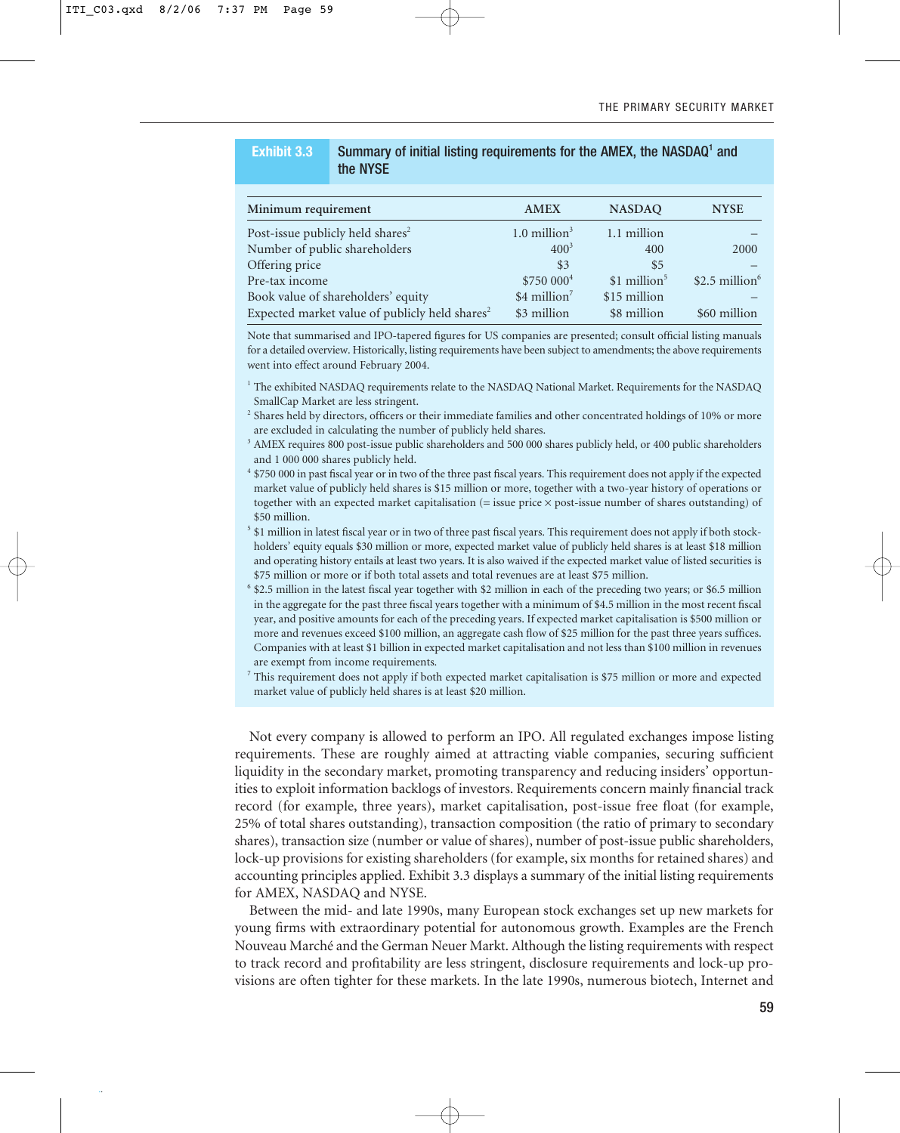#### **Exhibit 3.3** Summary of initial listing requirements for the AMEX, the NASDAQ<sup>1</sup> and the NYSE

| Minimum requirement                                        | <b>AMEX</b>               | <b>NASDAO</b>             | <b>NYSE</b>                 |
|------------------------------------------------------------|---------------------------|---------------------------|-----------------------------|
| Post-issue publicly held shares <sup>2</sup>               | $1.0 \text{ million}^3$   | 1.1 million               |                             |
| Number of public shareholders                              | $400^3$                   | 400                       | 2000                        |
| Offering price                                             | \$3                       | \$5                       |                             |
| Pre-tax income                                             | \$750 000 <sup>4</sup>    | $$1$ million <sup>5</sup> | $$2.5$ million <sup>6</sup> |
| Book value of shareholders' equity                         | $$4$ million <sup>7</sup> | \$15 million              |                             |
| Expected market value of publicly held shares <sup>2</sup> | \$3 million               | \$8 million               | \$60 million                |

Note that summarised and IPO-tapered figures for US companies are presented; consult official listing manuals for a detailed overview. Historically, listing requirements have been subject to amendments; the above requirements went into effect around February 2004.

- <sup>1</sup> The exhibited NASDAQ requirements relate to the NASDAQ National Market. Requirements for the NASDAQ SmallCap Market are less stringent.
- <sup>2</sup> Shares held by directors, officers or their immediate families and other concentrated holdings of 10% or more are excluded in calculating the number of publicly held shares.
- <sup>3</sup> AMEX requires 800 post-issue public shareholders and 500 000 shares publicly held, or 400 public shareholders and 1 000 000 shares publicly held.
- <sup>4</sup> \$750 000 in past fiscal year or in two of the three past fiscal years. This requirement does not apply if the expected market value of publicly held shares is \$15 million or more, together with a two-year history of operations or together with an expected market capitalisation (= issue price  $\times$  post-issue number of shares outstanding) of \$50 million.
- <sup>5</sup> \$1 million in latest fiscal year or in two of three past fiscal years. This requirement does not apply if both stockholders' equity equals \$30 million or more, expected market value of publicly held shares is at least \$18 million and operating history entails at least two years. It is also waived if the expected market value of listed securities is \$75 million or more or if both total assets and total revenues are at least \$75 million.
- <sup>6</sup> \$2.5 million in the latest fiscal year together with \$2 million in each of the preceding two years; or \$6.5 million in the aggregate for the past three fiscal years together with a minimum of \$4.5 million in the most recent fiscal year, and positive amounts for each of the preceding years. If expected market capitalisation is \$500 million or more and revenues exceed \$100 million, an aggregate cash flow of \$25 million for the past three years suffices. Companies with at least \$1 billion in expected market capitalisation and not less than \$100 million in revenues are exempt from income requirements.
- <sup>7</sup> This requirement does not apply if both expected market capitalisation is \$75 million or more and expected market value of publicly held shares is at least \$20 million.

Not every company is allowed to perform an IPO. All regulated exchanges impose listing requirements. These are roughly aimed at attracting viable companies, securing sufficient liquidity in the secondary market, promoting transparency and reducing insiders' opportunities to exploit information backlogs of investors. Requirements concern mainly financial track record (for example, three years), market capitalisation, post-issue free float (for example, 25% of total shares outstanding), transaction composition (the ratio of primary to secondary shares), transaction size (number or value of shares), number of post-issue public shareholders, lock-up provisions for existing shareholders (for example, six months for retained shares) and accounting principles applied. Exhibit 3.3 displays a summary of the initial listing requirements for AMEX, NASDAQ and NYSE.

Between the mid- and late 1990s, many European stock exchanges set up new markets for young firms with extraordinary potential for autonomous growth. Examples are the French Nouveau Marché and the German Neuer Markt. Although the listing requirements with respect to track record and profitability are less stringent, disclosure requirements and lock-up provisions are often tighter for these markets. In the late 1990s, numerous biotech, Internet and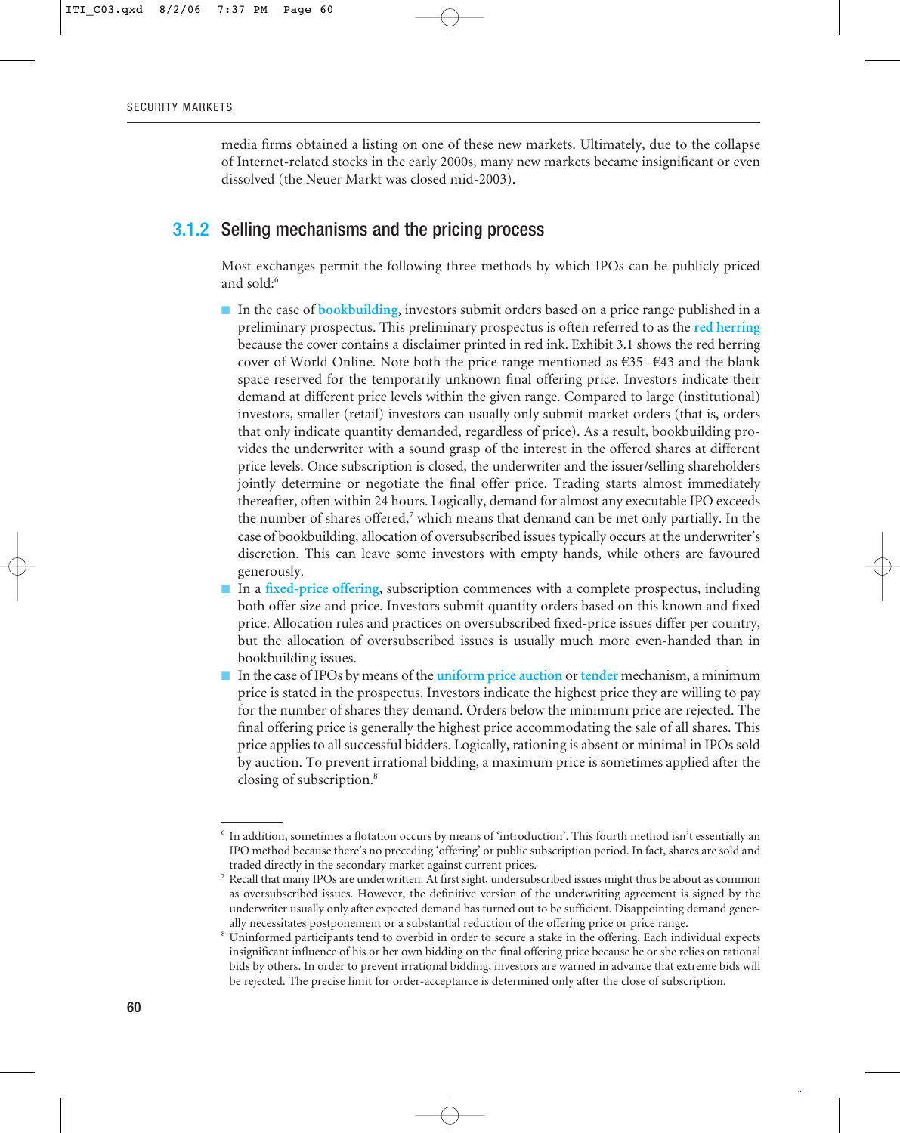media firms obtained a listing on one of these new markets. Ultimately, due to the collapse of Internet-related stocks in the early 2000s, many new markets became insignificant or even dissolved (the Neuer Markt was closed mid-2003).

## 3.1.2 Selling mechanisms and the pricing process

Most exchanges permit the following three methods by which IPOs can be publicly priced and sold: $6$ 

- n In the case of **bookbuilding**, investors submit orders based on a price range published in a preliminary prospectus. This preliminary prospectus is often referred to as the **red herring** because the cover contains a disclaimer printed in red ink. Exhibit 3.1 shows the red herring cover of World Online. Note both the price range mentioned as  $\epsilon$ 35– $\epsilon$ 43 and the blank space reserved for the temporarily unknown final offering price. Investors indicate their demand at different price levels within the given range. Compared to large (institutional) investors, smaller (retail) investors can usually only submit market orders (that is, orders that only indicate quantity demanded, regardless of price). As a result, bookbuilding provides the underwriter with a sound grasp of the interest in the offered shares at different price levels. Once subscription is closed, the underwriter and the issuer/selling shareholders jointly determine or negotiate the final offer price. Trading starts almost immediately thereafter, often within 24 hours. Logically, demand for almost any executable IPO exceeds the number of shares offered,<sup>7</sup> which means that demand can be met only partially. In the case of bookbuilding, allocation of oversubscribed issues typically occurs at the underwriter's discretion. This can leave some investors with empty hands, while others are favoured generously.
- n In a **fixed-price offering**, subscription commences with a complete prospectus, including both offer size and price. Investors submit quantity orders based on this known and fixed price. Allocation rules and practices on oversubscribed fixed-price issues differ per country, but the allocation of oversubscribed issues is usually much more even-handed than in bookbuilding issues.
- n In the case of IPOs by means of the **uniform price auction** or **tender** mechanism, a minimum price is stated in the prospectus. Investors indicate the highest price they are willing to pay for the number of shares they demand. Orders below the minimum price are rejected. The final offering price is generally the highest price accommodating the sale of all shares. This price applies to all successful bidders. Logically, rationing is absent or minimal in IPOs sold by auction. To prevent irrational bidding, a maximum price is sometimes applied after the closing of subscription.<sup>8</sup>

<sup>6</sup> In addition, sometimes a flotation occurs by means of 'introduction'. This fourth method isn't essentially an IPO method because there's no preceding 'offering' or public subscription period. In fact, shares are sold and traded directly in the secondary market against current prices.

<sup>7</sup> Recall that many IPOs are underwritten. At first sight, undersubscribed issues might thus be about as common as oversubscribed issues. However, the definitive version of the underwriting agreement is signed by the underwriter usually only after expected demand has turned out to be sufficient. Disappointing demand generally necessitates postponement or a substantial reduction of the offering price or price range.

 $8$  Uninformed participants tend to overbid in order to secure a stake in the offering. Each individual expects insignificant influence of his or her own bidding on the final offering price because he or she relies on rational bids by others. In order to prevent irrational bidding, investors are warned in advance that extreme bids will be rejected. The precise limit for order-acceptance is determined only after the close of subscription.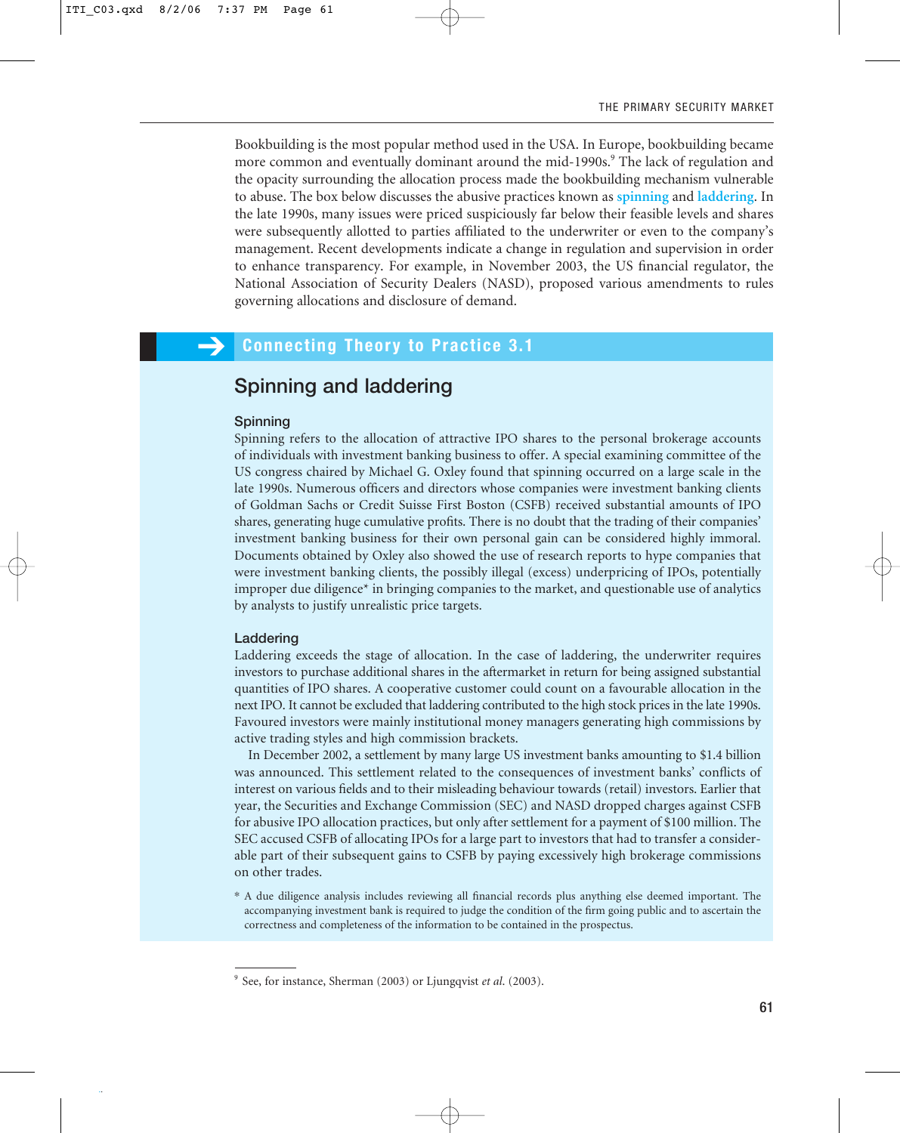Bookbuilding is the most popular method used in the USA. In Europe, bookbuilding became more common and eventually dominant around the mid-1990s.<sup>9</sup> The lack of regulation and the opacity surrounding the allocation process made the bookbuilding mechanism vulnerable to abuse. The box below discusses the abusive practices known as **spinning** and **laddering**. In the late 1990s, many issues were priced suspiciously far below their feasible levels and shares were subsequently allotted to parties affiliated to the underwriter or even to the company's management. Recent developments indicate a change in regulation and supervision in order to enhance transparency. For example, in November 2003, the US financial regulator, the National Association of Security Dealers (NASD), proposed various amendments to rules governing allocations and disclosure of demand.

# $\rightarrow$  Connecting Theory to Practice 3.1

# **Spinning and laddering**

#### **Spinning**

Spinning refers to the allocation of attractive IPO shares to the personal brokerage accounts of individuals with investment banking business to offer. A special examining committee of the US congress chaired by Michael G. Oxley found that spinning occurred on a large scale in the late 1990s. Numerous officers and directors whose companies were investment banking clients of Goldman Sachs or Credit Suisse First Boston (CSFB) received substantial amounts of IPO shares, generating huge cumulative profits. There is no doubt that the trading of their companies' investment banking business for their own personal gain can be considered highly immoral. Documents obtained by Oxley also showed the use of research reports to hype companies that were investment banking clients, the possibly illegal (excess) underpricing of IPOs, potentially improper due diligence\* in bringing companies to the market, and questionable use of analytics by analysts to justify unrealistic price targets.

#### **Laddering**

Laddering exceeds the stage of allocation. In the case of laddering, the underwriter requires investors to purchase additional shares in the aftermarket in return for being assigned substantial quantities of IPO shares. A cooperative customer could count on a favourable allocation in the next IPO. It cannot be excluded that laddering contributed to the high stock prices in the late 1990s. Favoured investors were mainly institutional money managers generating high commissions by active trading styles and high commission brackets.

In December 2002, a settlement by many large US investment banks amounting to \$1.4 billion was announced. This settlement related to the consequences of investment banks' conflicts of interest on various fields and to their misleading behaviour towards (retail) investors. Earlier that year, the Securities and Exchange Commission (SEC) and NASD dropped charges against CSFB for abusive IPO allocation practices, but only after settlement for a payment of \$100 million. The SEC accused CSFB of allocating IPOs for a large part to investors that had to transfer a considerable part of their subsequent gains to CSFB by paying excessively high brokerage commissions on other trades.

\* A due diligence analysis includes reviewing all financial records plus anything else deemed important. The accompanying investment bank is required to judge the condition of the firm going public and to ascertain the correctness and completeness of the information to be contained in the prospectus.

<sup>9</sup> See, for instance, Sherman (2003) or Ljungqvist *et al*. (2003).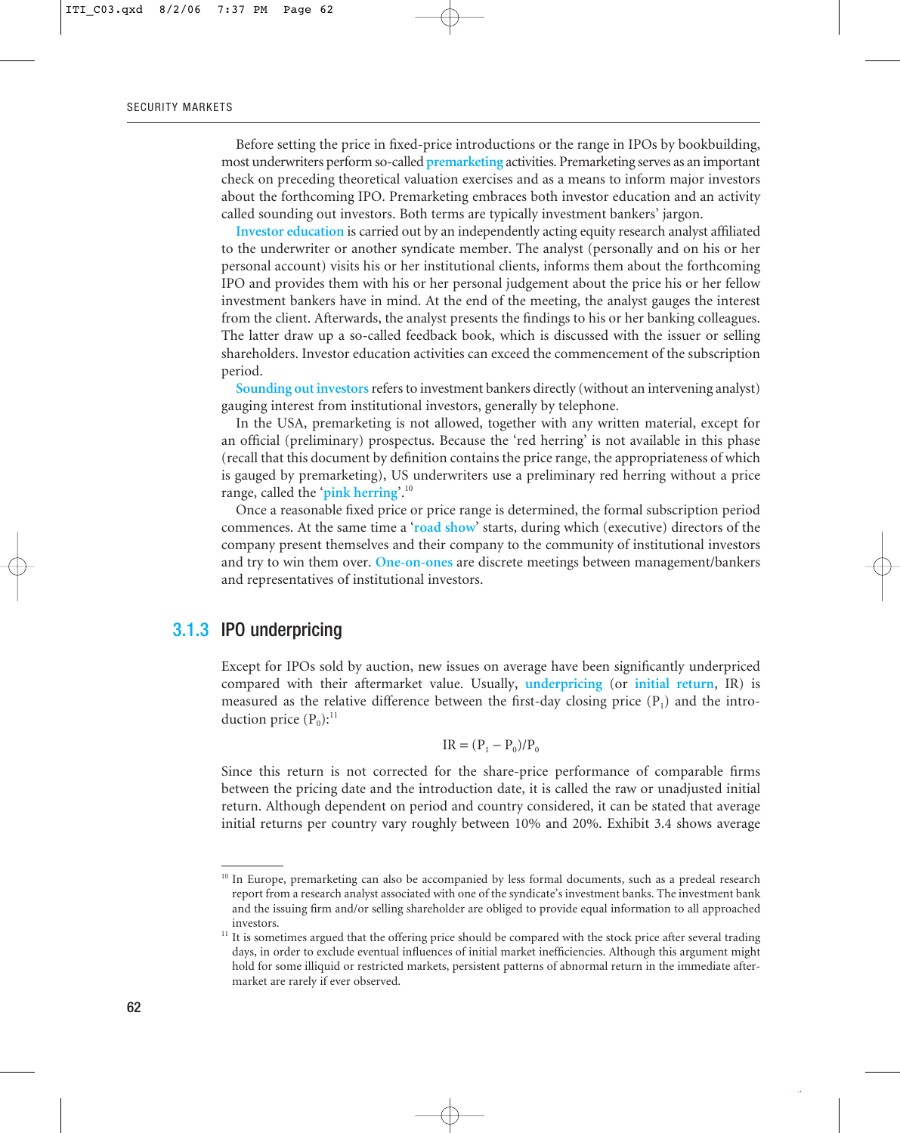Before setting the price in fixed-price introductions or the range in IPOs by bookbuilding, most underwriters perform so-called **premarketing** activities. Premarketing serves as an important check on preceding theoretical valuation exercises and as a means to inform major investors about the forthcoming IPO. Premarketing embraces both investor education and an activity called sounding out investors. Both terms are typically investment bankers' jargon.

**Investor education** is carried out by an independently acting equity research analyst affiliated to the underwriter or another syndicate member. The analyst (personally and on his or her personal account) visits his or her institutional clients, informs them about the forthcoming IPO and provides them with his or her personal judgement about the price his or her fellow investment bankers have in mind. At the end of the meeting, the analyst gauges the interest from the client. Afterwards, the analyst presents the findings to his or her banking colleagues. The latter draw up a so-called feedback book, which is discussed with the issuer or selling shareholders. Investor education activities can exceed the commencement of the subscription period.

**Sounding out investors**refers to investment bankers directly (without an intervening analyst) gauging interest from institutional investors, generally by telephone.

In the USA, premarketing is not allowed, together with any written material, except for an official (preliminary) prospectus. Because the 'red herring' is not available in this phase (recall that this document by definition contains the price range, the appropriateness of which is gauged by premarketing), US underwriters use a preliminary red herring without a price range, called the '**pink herring**'.10

Once a reasonable fixed price or price range is determined, the formal subscription period commences. At the same time a '**road show**' starts, during which (executive) directors of the company present themselves and their company to the community of institutional investors and try to win them over. **One-on-ones** are discrete meetings between management/bankers and representatives of institutional investors.

# 3.1.3 IPO underpricing

Except for IPOs sold by auction, new issues on average have been significantly underpriced compared with their aftermarket value. Usually, **underpricing** (or **initial return**, IR) is measured as the relative difference between the first-day closing price  $(P_1)$  and the introduction price  $(P_0)$ :<sup>11</sup>

$$
IR = (P_1 - P_0)/P_0
$$

Since this return is not corrected for the share-price performance of comparable firms between the pricing date and the introduction date, it is called the raw or unadjusted initial return. Although dependent on period and country considered, it can be stated that average initial returns per country vary roughly between 10% and 20%. Exhibit 3.4 shows average

<sup>&</sup>lt;sup>10</sup> In Europe, premarketing can also be accompanied by less formal documents, such as a predeal research report from a research analyst associated with one of the syndicate's investment banks. The investment bank and the issuing firm and/or selling shareholder are obliged to provide equal information to all approached investors.

 $11$  It is sometimes argued that the offering price should be compared with the stock price after several trading days, in order to exclude eventual influences of initial market inefficiencies. Although this argument might hold for some illiquid or restricted markets, persistent patterns of abnormal return in the immediate aftermarket are rarely if ever observed.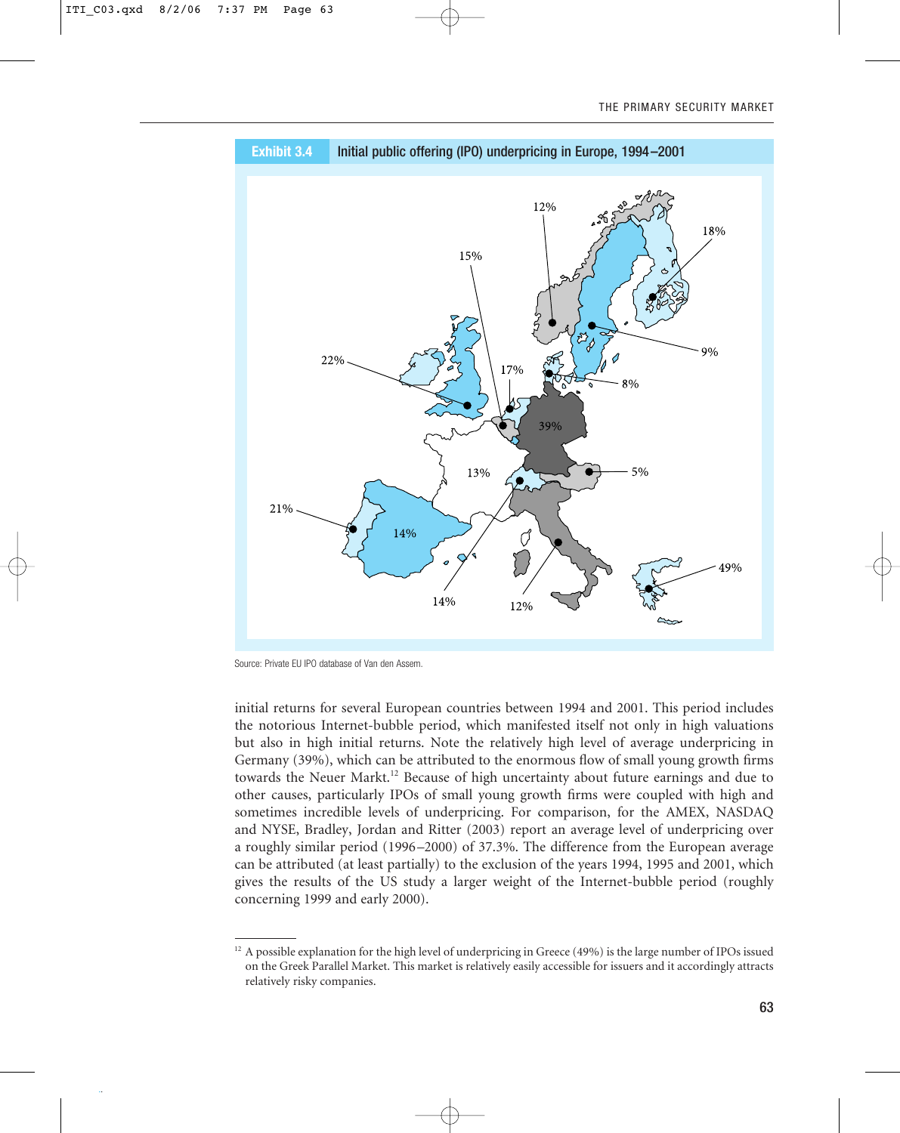

Source: Private EU IPO database of Van den Assem.

initial returns for several European countries between 1994 and 2001. This period includes the notorious Internet-bubble period, which manifested itself not only in high valuations but also in high initial returns. Note the relatively high level of average underpricing in Germany (39%), which can be attributed to the enormous flow of small young growth firms towards the Neuer Markt.<sup>12</sup> Because of high uncertainty about future earnings and due to other causes, particularly IPOs of small young growth firms were coupled with high and sometimes incredible levels of underpricing. For comparison, for the AMEX, NASDAQ and NYSE, Bradley, Jordan and Ritter (2003) report an average level of underpricing over a roughly similar period (1996–2000) of 37.3%. The difference from the European average can be attributed (at least partially) to the exclusion of the years 1994, 1995 and 2001, which gives the results of the US study a larger weight of the Internet-bubble period (roughly concerning 1999 and early 2000).

<sup>&</sup>lt;sup>12</sup> A possible explanation for the high level of underpricing in Greece (49%) is the large number of IPOs issued on the Greek Parallel Market. This market is relatively easily accessible for issuers and it accordingly attracts relatively risky companies.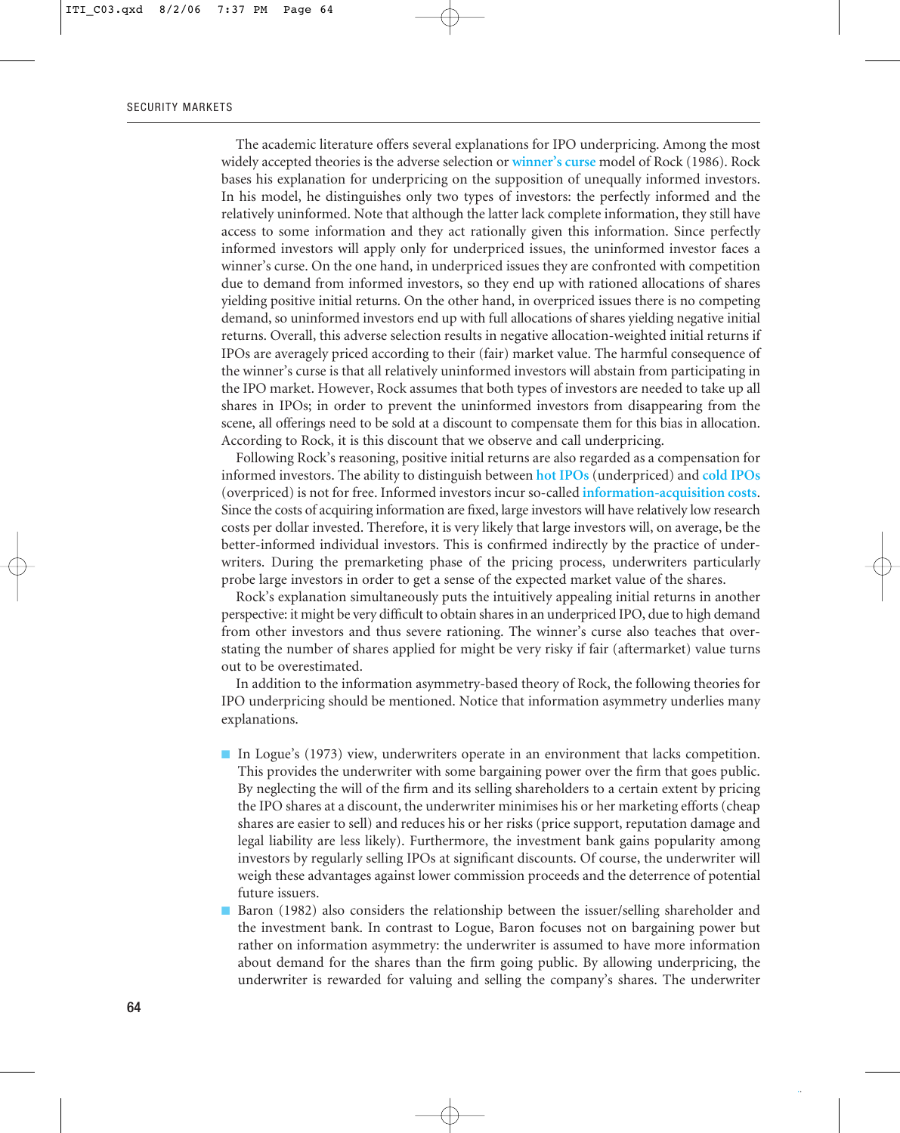The academic literature offers several explanations for IPO underpricing. Among the most widely accepted theories is the adverse selection or **winner's curse** model of Rock (1986). Rock bases his explanation for underpricing on the supposition of unequally informed investors. In his model, he distinguishes only two types of investors: the perfectly informed and the relatively uninformed. Note that although the latter lack complete information, they still have access to some information and they act rationally given this information. Since perfectly informed investors will apply only for underpriced issues, the uninformed investor faces a winner's curse. On the one hand, in underpriced issues they are confronted with competition due to demand from informed investors, so they end up with rationed allocations of shares yielding positive initial returns. On the other hand, in overpriced issues there is no competing demand, so uninformed investors end up with full allocations of shares yielding negative initial returns. Overall, this adverse selection results in negative allocation-weighted initial returns if IPOs are averagely priced according to their (fair) market value. The harmful consequence of the winner's curse is that all relatively uninformed investors will abstain from participating in the IPO market. However, Rock assumes that both types of investors are needed to take up all shares in IPOs; in order to prevent the uninformed investors from disappearing from the scene, all offerings need to be sold at a discount to compensate them for this bias in allocation. According to Rock, it is this discount that we observe and call underpricing.

Following Rock's reasoning, positive initial returns are also regarded as a compensation for informed investors. The ability to distinguish between **hot IPOs** (underpriced) and **cold IPOs** (overpriced) is not for free. Informed investors incur so-called **information-acquisition costs**. Since the costs of acquiring information are fixed, large investors will have relatively low research costs per dollar invested. Therefore, it is very likely that large investors will, on average, be the better-informed individual investors. This is confirmed indirectly by the practice of underwriters. During the premarketing phase of the pricing process, underwriters particularly probe large investors in order to get a sense of the expected market value of the shares.

Rock's explanation simultaneously puts the intuitively appealing initial returns in another perspective: it might be very difficult to obtain shares in an underpriced IPO, due to high demand from other investors and thus severe rationing. The winner's curse also teaches that overstating the number of shares applied for might be very risky if fair (aftermarket) value turns out to be overestimated.

In addition to the information asymmetry-based theory of Rock, the following theories for IPO underpricing should be mentioned. Notice that information asymmetry underlies many explanations.

- n In Logue's (1973) view, underwriters operate in an environment that lacks competition. This provides the underwriter with some bargaining power over the firm that goes public. By neglecting the will of the firm and its selling shareholders to a certain extent by pricing the IPO shares at a discount, the underwriter minimises his or her marketing efforts (cheap shares are easier to sell) and reduces his or her risks (price support, reputation damage and legal liability are less likely). Furthermore, the investment bank gains popularity among investors by regularly selling IPOs at significant discounts. Of course, the underwriter will weigh these advantages against lower commission proceeds and the deterrence of potential future issuers.
- n Baron (1982) also considers the relationship between the issuer/selling shareholder and the investment bank. In contrast to Logue, Baron focuses not on bargaining power but rather on information asymmetry: the underwriter is assumed to have more information about demand for the shares than the firm going public. By allowing underpricing, the underwriter is rewarded for valuing and selling the company's shares. The underwriter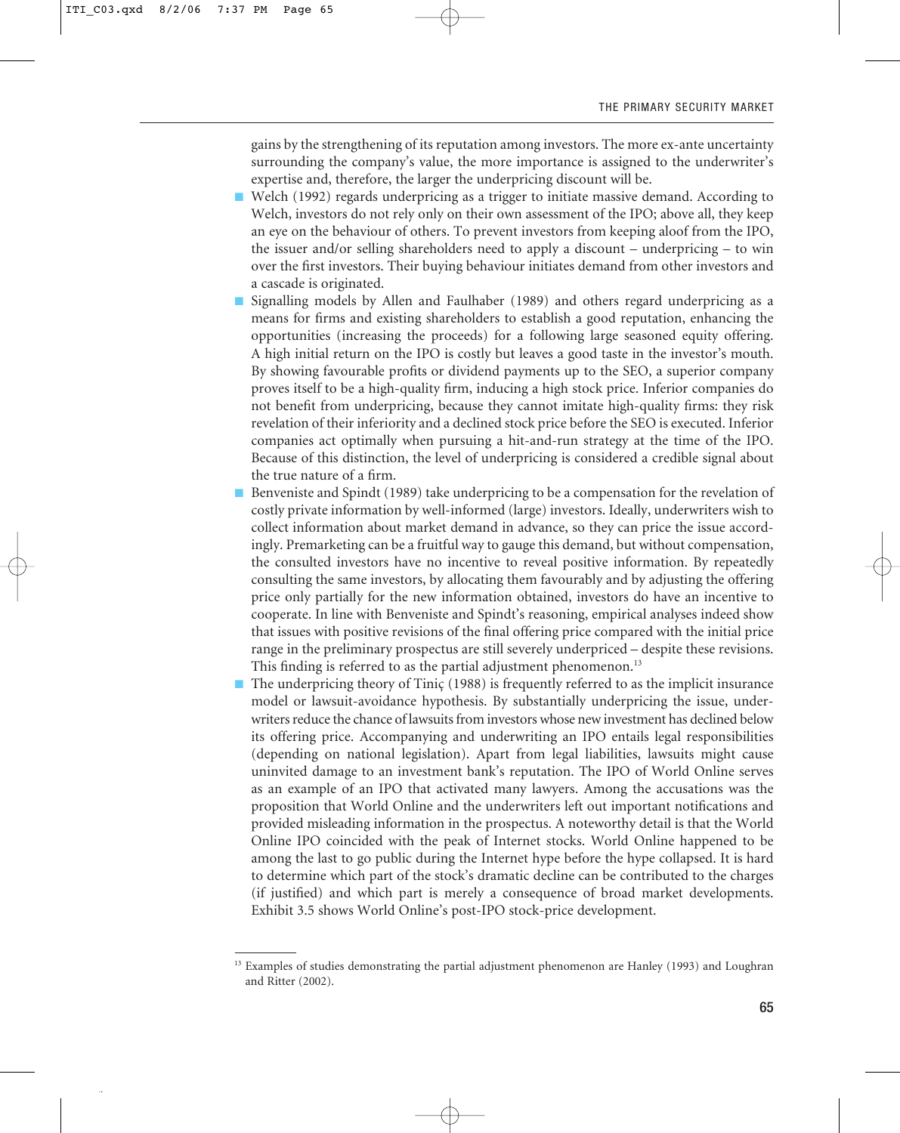gains by the strengthening of its reputation among investors. The more ex-ante uncertainty surrounding the company's value, the more importance is assigned to the underwriter's expertise and, therefore, the larger the underpricing discount will be.

- n Welch (1992) regards underpricing as a trigger to initiate massive demand. According to Welch, investors do not rely only on their own assessment of the IPO; above all, they keep an eye on the behaviour of others. To prevent investors from keeping aloof from the IPO, the issuer and/or selling shareholders need to apply a discount – underpricing – to win over the first investors. Their buying behaviour initiates demand from other investors and a cascade is originated.
- n Signalling models by Allen and Faulhaber (1989) and others regard underpricing as a means for firms and existing shareholders to establish a good reputation, enhancing the opportunities (increasing the proceeds) for a following large seasoned equity offering. A high initial return on the IPO is costly but leaves a good taste in the investor's mouth. By showing favourable profits or dividend payments up to the SEO, a superior company proves itself to be a high-quality firm, inducing a high stock price. Inferior companies do not benefit from underpricing, because they cannot imitate high-quality firms: they risk revelation of their inferiority and a declined stock price before the SEO is executed. Inferior companies act optimally when pursuing a hit-and-run strategy at the time of the IPO. Because of this distinction, the level of underpricing is considered a credible signal about the true nature of a firm.
- n Benveniste and Spindt (1989) take underpricing to be a compensation for the revelation of costly private information by well-informed (large) investors. Ideally, underwriters wish to collect information about market demand in advance, so they can price the issue accordingly. Premarketing can be a fruitful way to gauge this demand, but without compensation, the consulted investors have no incentive to reveal positive information. By repeatedly consulting the same investors, by allocating them favourably and by adjusting the offering price only partially for the new information obtained, investors do have an incentive to cooperate. In line with Benveniste and Spindt's reasoning, empirical analyses indeed show that issues with positive revisions of the final offering price compared with the initial price range in the preliminary prospectus are still severely underpriced – despite these revisions. This finding is referred to as the partial adjustment phenomenon.<sup>13</sup>
- $\blacksquare$  The underpricing theory of Tinic (1988) is frequently referred to as the implicit insurance model or lawsuit-avoidance hypothesis. By substantially underpricing the issue, underwriters reduce the chance of lawsuits from investors whose new investment has declined below its offering price. Accompanying and underwriting an IPO entails legal responsibilities (depending on national legislation). Apart from legal liabilities, lawsuits might cause uninvited damage to an investment bank's reputation. The IPO of World Online serves as an example of an IPO that activated many lawyers. Among the accusations was the proposition that World Online and the underwriters left out important notifications and provided misleading information in the prospectus. A noteworthy detail is that the World Online IPO coincided with the peak of Internet stocks. World Online happened to be among the last to go public during the Internet hype before the hype collapsed. It is hard to determine which part of the stock's dramatic decline can be contributed to the charges (if justified) and which part is merely a consequence of broad market developments. Exhibit 3.5 shows World Online's post-IPO stock-price development.

<sup>&</sup>lt;sup>13</sup> Examples of studies demonstrating the partial adjustment phenomenon are Hanley (1993) and Loughran and Ritter (2002).